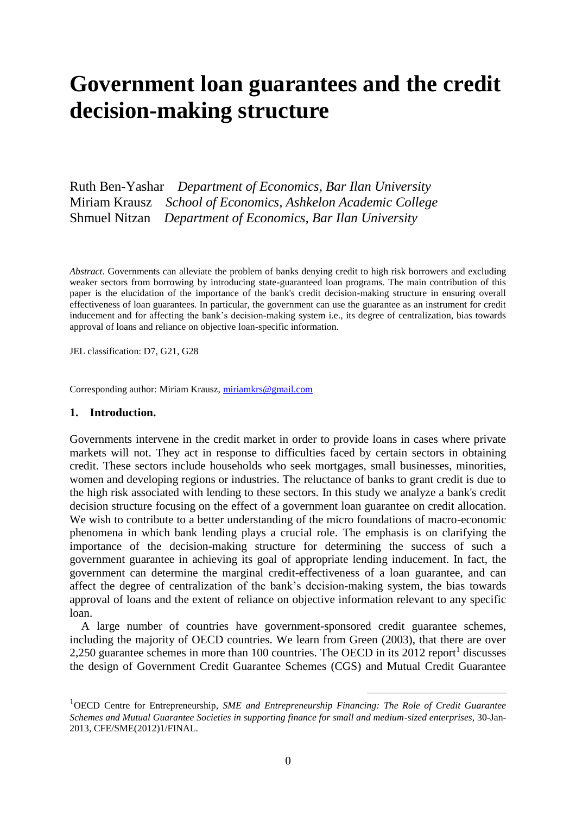# **Government loan guarantees and the credit decision-making structure**

Ruth Ben-Yashar *Department of Economics, Bar Ilan University* Miriam Krausz *School of Economics, Ashkelon Academic College* Shmuel Nitzan *Department of Economics, Bar Ilan University*

*Abstract.* Governments can alleviate the problem of banks denying credit to high risk borrowers and excluding weaker sectors from borrowing by introducing state-guaranteed loan programs. The main contribution of this paper is the elucidation of the importance of the bank's credit decision-making structure in ensuring overall effectiveness of loan guarantees. In particular, the government can use the guarantee as an instrument for credit inducement and for affecting the bank's decision-making system i.e., its degree of centralization, bias towards approval of loans and reliance on objective loan-specific information.

JEL classification: D7, G21, G28

Corresponding author: Miriam Krausz, [miriamkrs@gmail.com](mailto:miriamkrs@gmail.com)

## **1. Introduction.**

Governments intervene in the credit market in order to provide loans in cases where private markets will not. They act in response to difficulties faced by certain sectors in obtaining credit. These sectors include households who seek mortgages, small businesses, minorities, women and developing regions or industries. The reluctance of banks to grant credit is due to the high risk associated with lending to these sectors. In this study we analyze a bank's credit decision structure focusing on the effect of a government loan guarantee on credit allocation. We wish to contribute to a better understanding of the micro foundations of macro-economic phenomena in which bank lending plays a crucial role. The emphasis is on clarifying the importance of the decision-making structure for determining the success of such a government guarantee in achieving its goal of appropriate lending inducement. In fact, the government can determine the marginal credit-effectiveness of a loan guarantee, and can affect the degree of centralization of the bank's decision-making system, the bias towards approval of loans and the extent of reliance on objective information relevant to any specific loan.

A large number of countries have government-sponsored credit guarantee schemes, including the majority of OECD countries. We learn from Green (2003), that there are over 2,250 guarantee schemes in more than  $100$  countries. The OECD in its  $2012$  report<sup>1</sup> discusses the design of Government Credit Guarantee Schemes (CGS) and Mutual Credit Guarantee

1

<sup>1</sup>OECD Centre for Entrepreneurship, *SME and Entrepreneurship Financing: The Role of Credit Guarantee Schemes and Mutual Guarantee Societies in supporting finance for small and medium-sized enterprises,* 30-Jan-2013, CFE/SME(2012)1/FINAL.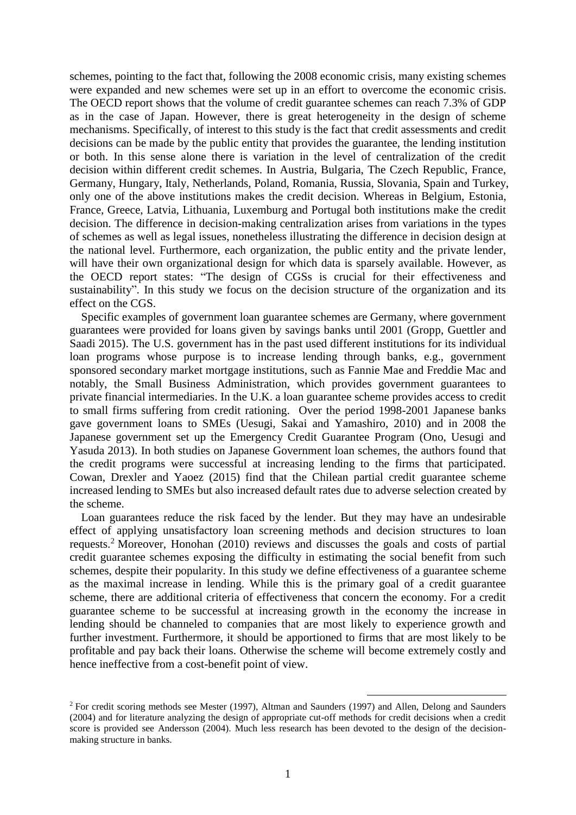schemes, pointing to the fact that, following the 2008 economic crisis, many existing schemes were expanded and new schemes were set up in an effort to overcome the economic crisis. The OECD report shows that the volume of credit guarantee schemes can reach 7.3% of GDP as in the case of Japan. However, there is great heterogeneity in the design of scheme mechanisms. Specifically, of interest to this study is the fact that credit assessments and credit decisions can be made by the public entity that provides the guarantee, the lending institution or both. In this sense alone there is variation in the level of centralization of the credit decision within different credit schemes. In Austria, Bulgaria, The Czech Republic, France, Germany, Hungary, Italy, Netherlands, Poland, Romania, Russia, Slovania, Spain and Turkey, only one of the above institutions makes the credit decision. Whereas in Belgium, Estonia, France, Greece, Latvia, Lithuania, Luxemburg and Portugal both institutions make the credit decision. The difference in decision-making centralization arises from variations in the types of schemes as well as legal issues, nonetheless illustrating the difference in decision design at the national level. Furthermore, each organization, the public entity and the private lender, will have their own organizational design for which data is sparsely available. However, as the OECD report states: "The design of CGSs is crucial for their effectiveness and sustainability". In this study we focus on the decision structure of the organization and its effect on the CGS.

Specific examples of government loan guarantee schemes are Germany, where government guarantees were provided for loans given by savings banks until 2001 (Gropp, Guettler and Saadi 2015). The U.S. government has in the past used different institutions for its individual loan programs whose purpose is to increase lending through banks, e.g., government sponsored secondary market mortgage institutions, such as Fannie Mae and Freddie Mac and notably, the Small Business Administration, which provides government guarantees to private financial intermediaries. In the U.K. a loan guarantee scheme provides access to credit to small firms suffering from credit rationing. Over the period 1998-2001 Japanese banks gave government loans to SMEs (Uesugi, Sakai and Yamashiro, 2010) and in 2008 the Japanese government set up the Emergency Credit Guarantee Program (Ono, Uesugi and Yasuda 2013). In both studies on Japanese Government loan schemes, the authors found that the credit programs were successful at increasing lending to the firms that participated. Cowan, Drexler and Yaoez (2015) find that the Chilean partial credit guarantee scheme increased lending to SMEs but also increased default rates due to adverse selection created by the scheme.

Loan guarantees reduce the risk faced by the lender. But they may have an undesirable effect of applying unsatisfactory loan screening methods and decision structures to loan requests.<sup>2</sup> Moreover, Honohan (2010) reviews and discusses the goals and costs of partial credit guarantee schemes exposing the difficulty in estimating the social benefit from such schemes, despite their popularity. In this study we define effectiveness of a guarantee scheme as the maximal increase in lending. While this is the primary goal of a credit guarantee scheme, there are additional criteria of effectiveness that concern the economy. For a credit guarantee scheme to be successful at increasing growth in the economy the increase in lending should be channeled to companies that are most likely to experience growth and further investment. Furthermore, it should be apportioned to firms that are most likely to be profitable and pay back their loans. Otherwise the scheme will become extremely costly and hence ineffective from a cost-benefit point of view.

1

<sup>2</sup> For credit scoring methods see Mester (1997), Altman and Saunders (1997) and Allen, Delong and Saunders (2004) and for literature analyzing the design of appropriate cut-off methods for credit decisions when a credit score is provided see Andersson (2004). Much less research has been devoted to the design of the decisionmaking structure in banks.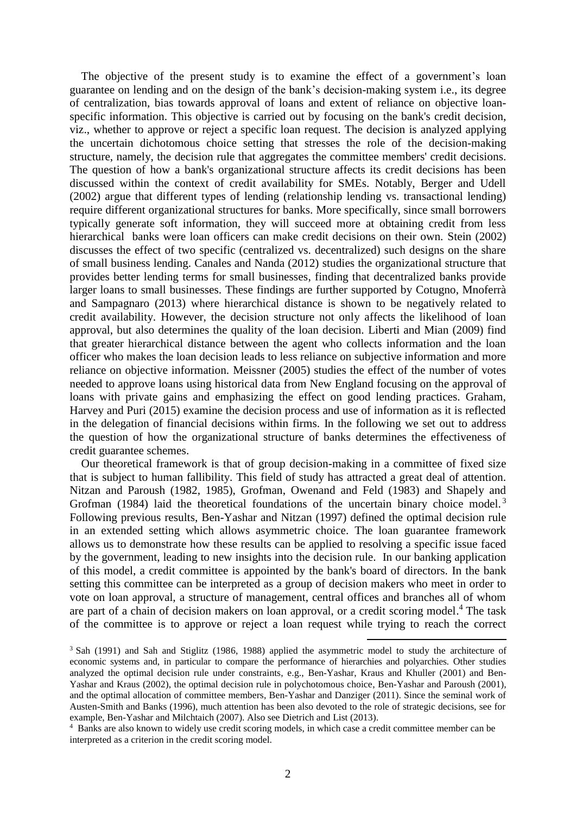The objective of the present study is to examine the effect of a government's loan guarantee on lending and on the design of the bank's decision-making system i.e., its degree of centralization, bias towards approval of loans and extent of reliance on objective loanspecific information. This objective is carried out by focusing on the bank's credit decision, viz., whether to approve or reject a specific loan request. The decision is analyzed applying the uncertain dichotomous choice setting that stresses the role of the decision-making structure, namely, the decision rule that aggregates the committee members' credit decisions. The question of how a bank's organizational structure affects its credit decisions has been discussed within the context of credit availability for SMEs. Notably, Berger and Udell (2002) argue that different types of lending (relationship lending vs. transactional lending) require different organizational structures for banks. More specifically, since small borrowers typically generate soft information, they will succeed more at obtaining credit from less hierarchical banks were loan officers can make credit decisions on their own. Stein (2002) discusses the effect of two specific (centralized vs. decentralized) such designs on the share of small business lending. Canales and Nanda (2012) studies the organizational structure that provides better lending terms for small businesses, finding that decentralized banks provide larger loans to small businesses. These findings are further supported by Cotugno, Mnoferrà and Sampagnaro (2013) where hierarchical distance is shown to be negatively related to credit availability. However, the decision structure not only affects the likelihood of loan approval, but also determines the quality of the loan decision. Liberti and Mian (2009) find that greater hierarchical distance between the agent who collects information and the loan officer who makes the loan decision leads to less reliance on subjective information and more reliance on objective information. Meissner (2005) studies the effect of the number of votes needed to approve loans using historical data from New England focusing on the approval of loans with private gains and emphasizing the effect on good lending practices. Graham, Harvey and Puri (2015) examine the decision process and use of information as it is reflected in the delegation of financial decisions within firms. In the following we set out to address the question of how the organizational structure of banks determines the effectiveness of credit guarantee schemes.

Our theoretical framework is that of group decision-making in a committee of fixed size that is subject to human fallibility. This field of study has attracted a great deal of attention. Nitzan and Paroush (1982, 1985), Grofman, Owenand and Feld (1983) and Shapely and Grofman (1984) laid the theoretical foundations of the uncertain binary choice model.<sup>3</sup> Following previous results, Ben-Yashar and Nitzan (1997) defined the optimal decision rule in an extended setting which allows asymmetric choice. The loan guarantee framework allows us to demonstrate how these results can be applied to resolving a specific issue faced by the government, leading to new insights into the decision rule. In our banking application of this model, a credit committee is appointed by the bank's board of directors. In the bank setting this committee can be interpreted as a group of decision makers who meet in order to vote on loan approval, a structure of management, central offices and branches all of whom are part of a chain of decision makers on loan approval, or a credit scoring model.<sup>4</sup> The task of the committee is to approve or reject a loan request while trying to reach the correct

<sup>&</sup>lt;sup>3</sup> Sah (1991) and Sah and Stiglitz (1986, 1988) applied the asymmetric model to study the architecture of economic systems and, in particular to compare the performance of hierarchies and polyarchies. Other studies analyzed the optimal decision rule under constraints, e.g., Ben-Yashar, Kraus and Khuller (2001) and Ben-Yashar and Kraus (2002), the optimal decision rule in polychotomous choice, Ben-Yashar and Paroush (2001), and the optimal allocation of committee members, Ben-Yashar and Danziger (2011). Since the seminal work of Austen-Smith and Banks (1996), much attention has been also devoted to the role of strategic decisions, see for example, Ben-Yashar and Milchtaich (2007). Also see Dietrich and List (2013).

<sup>4</sup> Banks are also known to widely use credit scoring models, in which case a credit committee member can be interpreted as a criterion in the credit scoring model.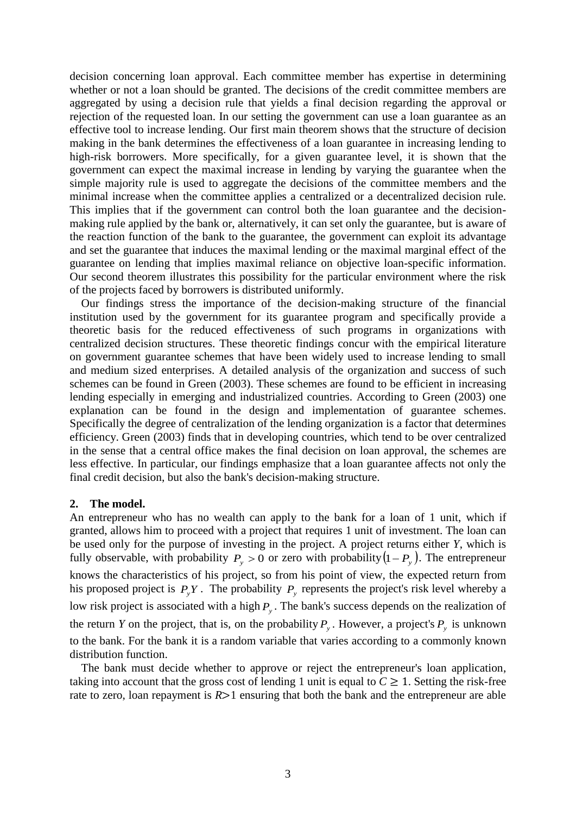decision concerning loan approval. Each committee member has expertise in determining whether or not a loan should be granted. The decisions of the credit committee members are aggregated by using a decision rule that yields a final decision regarding the approval or rejection of the requested loan. In our setting the government can use a loan guarantee as an effective tool to increase lending. Our first main theorem shows that the structure of decision making in the bank determines the effectiveness of a loan guarantee in increasing lending to high-risk borrowers. More specifically, for a given guarantee level, it is shown that the government can expect the maximal increase in lending by varying the guarantee when the simple majority rule is used to aggregate the decisions of the committee members and the minimal increase when the committee applies a centralized or a decentralized decision rule. This implies that if the government can control both the loan guarantee and the decisionmaking rule applied by the bank or, alternatively, it can set only the guarantee, but is aware of the reaction function of the bank to the guarantee, the government can exploit its advantage and set the guarantee that induces the maximal lending or the maximal marginal effect of the guarantee on lending that implies maximal reliance on objective loan-specific information. Our second theorem illustrates this possibility for the particular environment where the risk of the projects faced by borrowers is distributed uniformly.

Our findings stress the importance of the decision-making structure of the financial institution used by the government for its guarantee program and specifically provide a theoretic basis for the reduced effectiveness of such programs in organizations with centralized decision structures. These theoretic findings concur with the empirical literature on government guarantee schemes that have been widely used to increase lending to small and medium sized enterprises. A detailed analysis of the organization and success of such schemes can be found in Green (2003). These schemes are found to be efficient in increasing lending especially in emerging and industrialized countries. According to Green (2003) one explanation can be found in the design and implementation of guarantee schemes. Specifically the degree of centralization of the lending organization is a factor that determines efficiency. Green (2003) finds that in developing countries, which tend to be over centralized in the sense that a central office makes the final decision on loan approval, the schemes are less effective. In particular, our findings emphasize that a loan guarantee affects not only the final credit decision, but also the bank's decision-making structure.

## **2. The model.**

An entrepreneur who has no wealth can apply to the bank for a loan of 1 unit, which if granted, allows him to proceed with a project that requires 1 unit of investment. The loan can be used only for the purpose of investing in the project. A project returns either *Y*, which is fully observable, with probability  $P_y > 0$  or zero with probability  $(1 - P_y)$ . The entrepreneur knows the characteristics of his project, so from his point of view, the expected return from his proposed project is  $P_yY$ . The probability  $P_y$  represents the project's risk level whereby a low risk project is associated with a high  $P_y$ . The bank's success depends on the realization of the return *Y* on the project, that is, on the probability  $P_y$ . However, a project's  $P_y$  is unknown to the bank. For the bank it is a random variable that varies according to a commonly known distribution function.

The bank must decide whether to approve or reject the entrepreneur's loan application, taking into account that the gross cost of lending 1 unit is equal to  $C \geq 1$ . Setting the risk-free rate to zero, loan repayment is *R*>1 ensuring that both the bank and the entrepreneur are able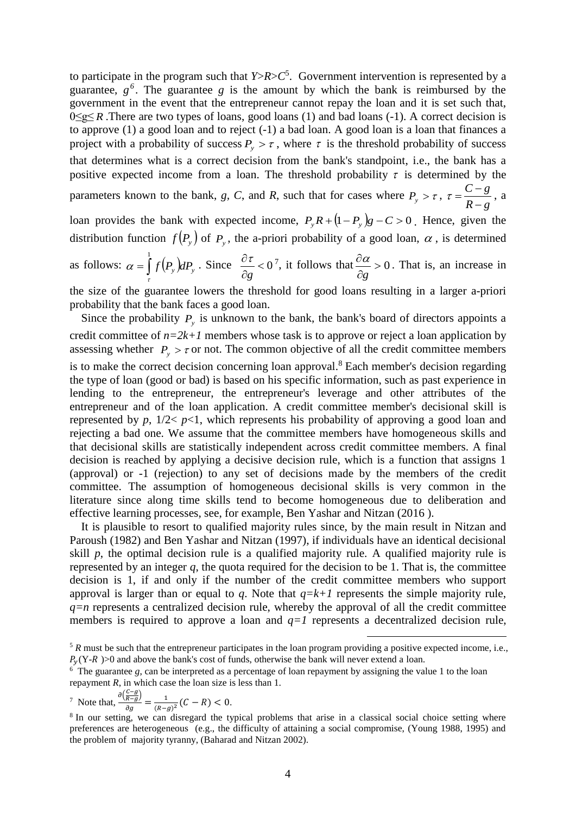to participate in the program such that  $Y>R>C^5$ . Government intervention is represented by a guarantee,  $g^6$ . The guarantee  $g$  is the amount by which the bank is reimbursed by the government in the event that the entrepreneur cannot repay the loan and it is set such that, 0≤g≤ *R* .There are two types of loans, good loans (1) and bad loans (-1). A correct decision is to approve (1) a good loan and to reject (-1) a bad loan. A good loan is a loan that finances a project with a probability of success  $P_y > \tau$ , where  $\tau$  is the threshold probability of success that determines what is a correct decision from the bank's standpoint, i.e., the bank has a positive expected income from a loan. The threshold probability  $\tau$  is determined by the parameters known to the bank, *g*, *C*, and *R*, such that for cases where  $P_y > \tau$ ,  $R-g$  $C-g$  $\overline{a}$  $\tau = \frac{C-g}{\tau}$ , a loan provides the bank with expected income,  $P_yR + (1 - P_y)g - C > 0$ . Hence, given the distribution function  $f(P_y)$  of  $P_y$ , the a-priori probability of a good loan,  $\alpha$ , is determined as follows:  $\alpha = \int f(P_y)$ 1 τ  $\alpha = \int f(P_y) dP_y$ . Since  $\frac{\partial f}{\partial y} < 0$  $\partial$  $\partial$ *g*  $\frac{\tau}{\tau}$  < 0<sup>7</sup>, it follows that  $\frac{\partial \alpha}{\partial \tau}$  > 0  $\hat{o}$  $\hat{c}$ *g*  $\frac{\alpha}{\alpha} > 0$ . That is, an increase in the size of the guarantee lowers the threshold for good loans resulting in a larger a-priori

probability that the bank faces a good loan.

Since the probability  $P_y$  is unknown to the bank, the bank's board of directors appoints a credit committee of  $n=2k+1$  members whose task is to approve or reject a loan application by assessing whether  $P_y > \tau$  or not. The common objective of all the credit committee members is to make the correct decision concerning loan approval.<sup>8</sup> Each member's decision regarding the type of loan (good or bad) is based on his specific information, such as past experience in lending to the entrepreneur, the entrepreneur's leverage and other attributes of the entrepreneur and of the loan application. A credit committee member's decisional skill is represented by *p*,  $1/2 < p < 1$ , which represents his probability of approving a good loan and rejecting a bad one. We assume that the committee members have homogeneous skills and that decisional skills are statistically independent across credit committee members. A final decision is reached by applying a decisive decision rule, which is a function that assigns 1 (approval) or -1 (rejection) to any set of decisions made by the members of the credit committee. The assumption of homogeneous decisional skills is very common in the literature since along time skills tend to become homogeneous due to deliberation and effective learning processes, see, for example, Ben Yashar and Nitzan (2016 ).

It is plausible to resort to qualified majority rules since, by the main result in Nitzan and Paroush (1982) and Ben Yashar and Nitzan (1997), if individuals have an identical decisional skill *p*, the optimal decision rule is a qualified majority rule. A qualified majority rule is represented by an integer  $q$ , the quota required for the decision to be 1. That is, the committee decision is 1, if and only if the number of the credit committee members who support approval is larger than or equal to *q*. Note that  $q=k+1$  represents the simple majority rule, *q=n* represents a centralized decision rule, whereby the approval of all the credit committee members is required to approve a loan and  $q=1$  represents a decentralized decision rule,

<sup>7</sup> Note that, 
$$
\frac{\partial \left(\frac{C-g}{R-g}\right)}{\partial g} = \frac{1}{(R-g)^2} (C - R) < 0.
$$

<sup>5</sup> *R* must be such that the entrepreneur participates in the loan program providing a positive expected income, i.e.,  $P_v(Y-R)$  >0 and above the bank's cost of funds, otherwise the bank will never extend a loan.

 $\frac{6}{3}$  The guarantee *g*, can be interpreted as a percentage of loan repayment by assigning the value 1 to the loan repayment *R*, in which case the loan size is less than 1.

<sup>&</sup>lt;sup>8</sup> In our setting, we can disregard the typical problems that arise in a classical social choice setting where preferences are heterogeneous (e.g., the difficulty of attaining a social compromise, (Young 1988, 1995) and the problem of majority tyranny, (Baharad and Nitzan 2002).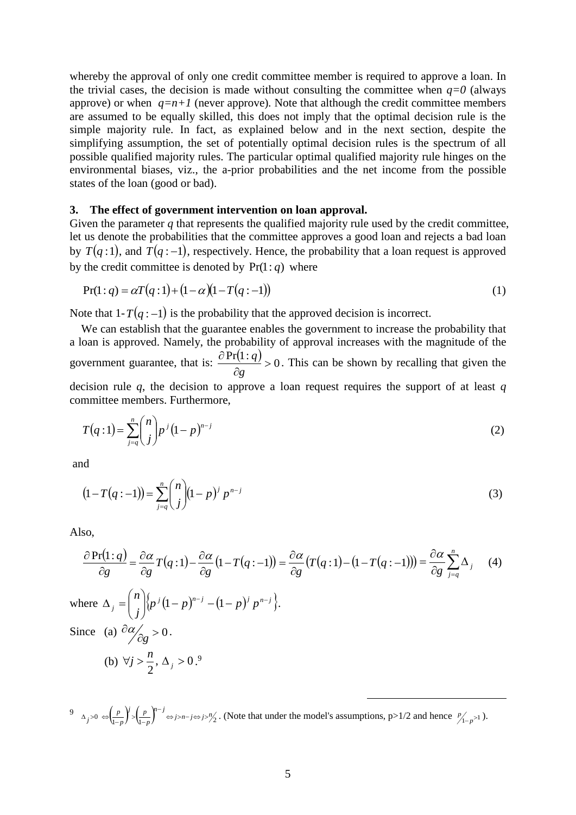whereby the approval of only one credit committee member is required to approve a loan. In the trivial cases, the decision is made without consulting the committee when  $q=0$  (always approve) or when  $q=n+1$  (never approve). Note that although the credit committee members are assumed to be equally skilled, this does not imply that the optimal decision rule is the simple majority rule. In fact, as explained below and in the next section, despite the simplifying assumption, the set of potentially optimal decision rules is the spectrum of all possible qualified majority rules. The particular optimal qualified majority rule hinges on the environmental biases, viz., the a-prior probabilities and the net income from the possible states of the loan (good or bad).

# **3. The effect of government intervention on loan approval.**

Given the parameter  $q$  that represents the qualified majority rule used by the credit committee, let us denote the probabilities that the committee approves a good loan and rejects a bad loan by  $T(q:1)$ , and  $T(q:-1)$ , respectively. Hence, the probability that a loan request is approved by the credit committee is denoted by  $Pr(1: q)$  where

$$
Pr(1:q) = \alpha T(q:1) + (1 - \alpha)(1 - T(q:-1))
$$
\n(1)

Note that  $1-T(q:-1)$  is the probability that the approved decision is incorrect.

We can establish that the guarantee enables the government to increase the probability that a loan is approved. Namely, the probability of approval increases with the magnitude of the government guarantee, that is:  $\frac{\partial Pr(1:q)}{\partial q} > 0$  $\partial$  $\partial$ *g*  $\frac{q}{q} > 0$ . This can be shown by recalling that given the decision rule *q*, the decision to approve a loan request requires the support of at least *q*

committee members. Furthermore,

$$
T(q:1) = \sum_{j=q}^{n} {n \choose j} p^{j} (1-p)^{n-j}
$$
 (2)

and

$$
(1 - T(q:-1)) = \sum_{j=q}^{n} {n \choose j} (1-p)^j p^{n-j}
$$
\n(3)

Also,

$$
\frac{\partial \Pr(1:q)}{\partial g} = \frac{\partial \alpha}{\partial g} T(q:1) - \frac{\partial \alpha}{\partial g} (1 - T(q:-1)) = \frac{\partial \alpha}{\partial g} (T(q:1) - (1 - T(q:-1))) = \frac{\partial \alpha}{\partial g} \sum_{j=q}^{n} \Delta_j
$$
(4)  
where  $\Delta_j = {n \choose j} \{p^j (1-p)^{n-j} - (1-p)^j p^{n-j}\}.$   
Since (a)  $\frac{\partial \alpha}{\partial g} > 0$ .  
(b)  $\forall j > \frac{n}{2}, \Delta_j > 0$ .<sup>9</sup>

 $9 \Delta_j > 0 \Leftrightarrow \left(\frac{p}{1-p}\right)^j > \left(\frac{p}{1-p}\right)^{n-j} \Leftrightarrow j > n-j \Leftrightarrow j > \frac{n}{2}$ *p p j p*  $p_j > 0 \Leftrightarrow \left(\frac{p}{1-p}\right)^j > \left(\frac{p}{1-p}\right)^{n-j} \Leftrightarrow j > n-j \Leftrightarrow j >$  $\Delta_j > 0 \Leftrightarrow \left(\frac{p}{1-p}\right)^j > \left(\frac{p}{1-p}\right)^j \Leftrightarrow j > n-j \Leftrightarrow j > \frac{n}{2}$ . (Note that under the model's assumptions, p>1/2 and hence  $\frac{p}{1-p} > 1$ ).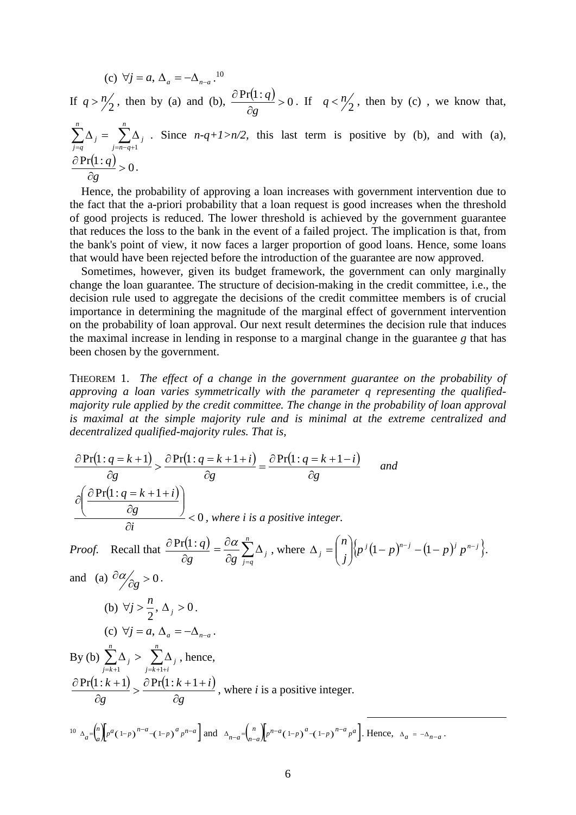(c) 
$$
\forall j = a, \Delta_a = -\Delta_{n-a}
$$
.<sup>10</sup>  
\nIf  $q > n/2$ , then by (a) and (b),  $\frac{\partial Pr(1:q)}{\partial g} > 0$ . If  $q < n/2$ , then by (c), we know that,  
\n
$$
\sum_{j=q}^{n} \Delta_j = \sum_{j=n-q+1}^{n} \Delta_j
$$
 Since  $n-q+1 > n/2$ , this last term is positive by (b), and with (a),  
\n
$$
\frac{\partial Pr(1:q)}{\partial g} > 0.
$$

Hence, the probability of approving a loan increases with government intervention due to the fact that the a-priori probability that a loan request is good increases when the threshold of good projects is reduced. The lower threshold is achieved by the government guarantee that reduces the loss to the bank in the event of a failed project. The implication is that, from the bank's point of view, it now faces a larger proportion of good loans. Hence, some loans that would have been rejected before the introduction of the guarantee are now approved.

Sometimes, however, given its budget framework, the government can only marginally change the loan guarantee. The structure of decision-making in the credit committee, i.e., the decision rule used to aggregate the decisions of the credit committee members is of crucial importance in determining the magnitude of the marginal effect of government intervention on the probability of loan approval. Our next result determines the decision rule that induces the maximal increase in lending in response to a marginal change in the guarantee *g* that has been chosen by the government.

THEOREM 1. *The effect of a change in the government guarantee on the probability of approving a loan varies symmetrically with the parameter q representing the qualifiedmajority rule applied by the credit committee. The change in the probability of loan approval is maximal at the simple majority rule and is minimal at the extreme centralized and decentralized qualified-majority rules. That is,*

$$
\frac{\partial \Pr(1:q=k+1)}{\partial g} > \frac{\partial \Pr(1:q=k+1+i)}{\partial g} = \frac{\partial \Pr(1:q=k+1-i)}{\partial g} \quad \text{and}
$$
\n
$$
\frac{\partial \left(\frac{\partial \Pr(1:q=k+1+i)}{\partial g}\right)}{\partial i} < 0, \text{ where } i \text{ is a positive integer.}
$$
\nProof. Recall that  $\frac{\partial \Pr(1:q)}{\partial g} = \frac{\partial \alpha}{\partial g} \sum_{j=q}^{n} \Delta_j$ , where  $\Delta_j = \binom{n}{j} \left\{ p^j (1-p)^{n-j} - (1-p)^j p^{n-j} \right\}.$   
\nand (a)  $\frac{\partial \alpha}{\partial g} > 0$ .  
\n(b)  $\forall j > \frac{n}{2}, \Delta_j > 0$ .  
\n(c)  $\forall j = a, \Delta_a = -\Delta_{n-a}$ .  
\nBy (b)  $\sum_{j=k+1}^{n} \Delta_j > \sum_{j=k+1+i}^{n} \Delta_j$ , hence,  
\n $\frac{\partial \Pr(1:k+1)}{\partial g} > \frac{\partial \Pr(1:k+1+i)}{\partial g}$ , where *i* is a positive integer.  
\n $\frac{\partial \Pr(1:k+1)}{\partial g} > \frac{\partial \Pr(1:k+1+i)}{\partial g}$ , where *i* is a positive integer.  
\n $\frac{\partial \Pr(1:k+1)}{\partial g} > \frac{\partial \Pr(1:k+1+i)}{\partial g} \quad \text{and} \quad \Delta_{n-a} = \binom{n}{n-a} p^{n-a} (1-p)^{a} (1-p)^{n-a} p^{a}$ . Hence,  $\Delta_a = -\Delta_{n-a}$ .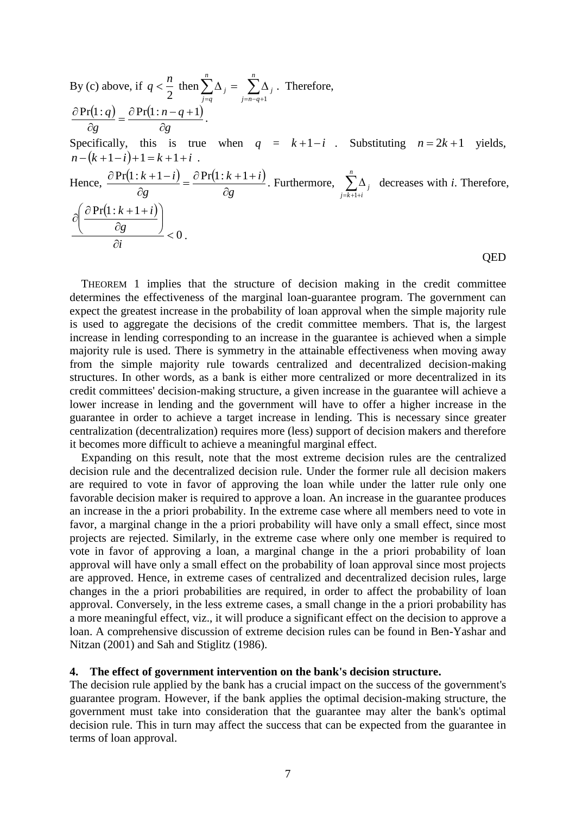By (c) above, if 
$$
q < \frac{n}{2}
$$
 then  $\sum_{j=q}^{n} \Delta_j = \sum_{j=n-q+1}^{n} \Delta_j$ . Therefore,  
\n
$$
\frac{\partial Pr(1:q)}{\partial g} = \frac{\partial Pr(1:n-q+1)}{\partial g}.
$$
\nSpecifically, this is true when  $q = k+1-i$ . Substituting  $n = 2k+1$  yields,  
\n $n - (k+1-i)+1 = k+1+i$ .  
\nHence, 
$$
\frac{\partial Pr(1:k+1-i)}{\partial g} = \frac{\partial Pr(1:k+1+i)}{\partial g}.
$$
 Furthermore, 
$$
\sum_{j=k+1+i}^{n} \Delta_j
$$
 decreases with *i*. Therefore,  
\n
$$
\frac{\partial \left(\frac{\partial Pr(1:k+1+i)}{\partial g}\right)}{\partial i} < 0.
$$

THEOREM 1 implies that the structure of decision making in the credit committee determines the effectiveness of the marginal loan-guarantee program. The government can expect the greatest increase in the probability of loan approval when the simple majority rule is used to aggregate the decisions of the credit committee members. That is, the largest increase in lending corresponding to an increase in the guarantee is achieved when a simple majority rule is used. There is symmetry in the attainable effectiveness when moving away from the simple majority rule towards centralized and decentralized decision-making structures. In other words, as a bank is either more centralized or more decentralized in its credit committees' decision-making structure, a given increase in the guarantee will achieve a lower increase in lending and the government will have to offer a higher increase in the guarantee in order to achieve a target increase in lending. This is necessary since greater centralization (decentralization) requires more (less) support of decision makers and therefore it becomes more difficult to achieve a meaningful marginal effect.

Expanding on this result, note that the most extreme decision rules are the centralized decision rule and the decentralized decision rule. Under the former rule all decision makers are required to vote in favor of approving the loan while under the latter rule only one favorable decision maker is required to approve a loan. An increase in the guarantee produces an increase in the a priori probability. In the extreme case where all members need to vote in favor, a marginal change in the a priori probability will have only a small effect, since most projects are rejected. Similarly, in the extreme case where only one member is required to vote in favor of approving a loan, a marginal change in the a priori probability of loan approval will have only a small effect on the probability of loan approval since most projects are approved. Hence, in extreme cases of centralized and decentralized decision rules, large changes in the a priori probabilities are required, in order to affect the probability of loan approval. Conversely, in the less extreme cases, a small change in the a priori probability has a more meaningful effect, viz., it will produce a significant effect on the decision to approve a loan. A comprehensive discussion of extreme decision rules can be found in Ben-Yashar and Nitzan (2001) and Sah and Stiglitz (1986).

# **4. The effect of government intervention on the bank's decision structure.**

The decision rule applied by the bank has a crucial impact on the success of the government's guarantee program. However, if the bank applies the optimal decision-making structure, the government must take into consideration that the guarantee may alter the bank's optimal decision rule. This in turn may affect the success that can be expected from the guarantee in terms of loan approval.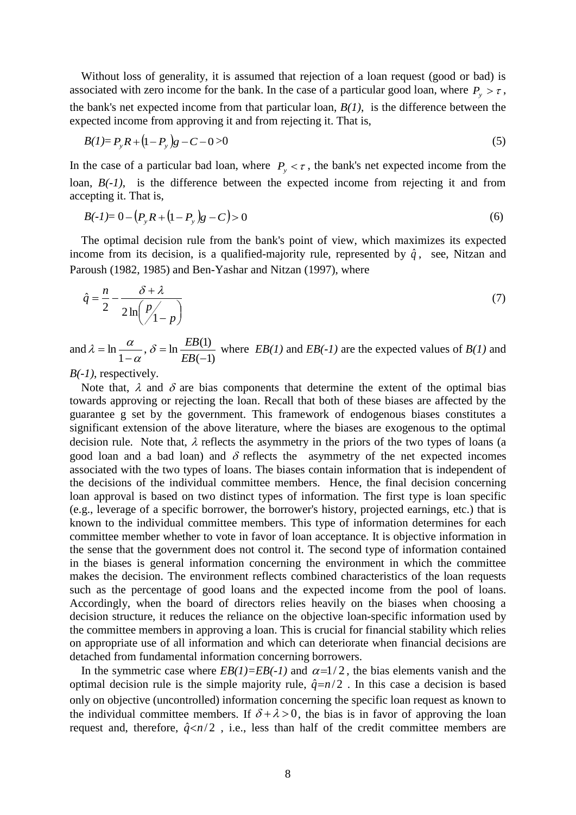Without loss of generality, it is assumed that rejection of a loan request (good or bad) is associated with zero income for the bank. In the case of a particular good loan, where  $P_y > \tau$ , the bank's net expected income from that particular loan, *B(1)*, is the difference between the expected income from approving it and from rejecting it. That is,

$$
B(1) = P_y R + (1 - P_y) g - C - 0 > 0 \tag{5}
$$

In the case of a particular bad loan, where  $P_y < \tau$ , the bank's net expected income from the loan,  $B(-1)$ , is the difference between the expected income from rejecting it and from accepting it. That is,

$$
B(-1) = 0 - (P_y R + (1 - P_y)g - C) > 0
$$
\n<sup>(6)</sup>

The optimal decision rule from the bank's point of view, which maximizes its expected income from its decision, is a qualified-majority rule, represented by  $\hat{q}$ , see, Nitzan and Paroush (1982, 1985) and Ben-Yashar and Nitzan (1997), where

$$
\hat{q} = \frac{n}{2} - \frac{\delta + \lambda}{2\ln\left(\frac{p}{1-p}\right)}\tag{7}
$$

and  $(-1)$  $,\delta = \ln \frac{EB(1)}{EB(1)}$ 1 ln  $\overline{a}$  $=$ - $=$ *EB*  $\delta = \ln \frac{EB}{A}$  $\alpha$  $\lambda = \ln \frac{\alpha}{\sigma}$ ,  $\delta = \ln \frac{EB(1)}{\sigma}$  where *EB(1)* and *EB(-1)* are the expected values of *B(1)* and

*B(-1)*, respectively.

Note that,  $\lambda$  and  $\delta$  are bias components that determine the extent of the optimal bias towards approving or rejecting the loan. Recall that both of these biases are affected by the guarantee g set by the government. This framework of endogenous biases constitutes a significant extension of the above literature, where the biases are exogenous to the optimal decision rule. Note that,  $\lambda$  reflects the asymmetry in the priors of the two types of loans (a good loan and a bad loan) and  $\delta$  reflects the asymmetry of the net expected incomes associated with the two types of loans. The biases contain information that is independent of the decisions of the individual committee members. Hence, the final decision concerning loan approval is based on two distinct types of information. The first type is loan specific (e.g., leverage of a specific borrower, the borrower's history, projected earnings, etc.) that is known to the individual committee members. This type of information determines for each committee member whether to vote in favor of loan acceptance. It is objective information in the sense that the government does not control it. The second type of information contained in the biases is general information concerning the environment in which the committee makes the decision. The environment reflects combined characteristics of the loan requests such as the percentage of good loans and the expected income from the pool of loans. Accordingly, when the board of directors relies heavily on the biases when choosing a decision structure, it reduces the reliance on the objective loan-specific information used by the committee members in approving a loan. This is crucial for financial stability which relies on appropriate use of all information and which can deteriorate when financial decisions are detached from fundamental information concerning borrowers.

In the symmetric case where  $EB(1)=EB(-1)$  and  $\alpha=1/2$ , the bias elements vanish and the optimal decision rule is the simple majority rule,  $\hat{q}=n/2$ . In this case a decision is based only on objective (uncontrolled) information concerning the specific loan request as known to the individual committee members. If  $\delta + \lambda > 0$ , the bias is in favor of approving the loan request and, therefore,  $\hat{q} \le n/2$ , i.e., less than half of the credit committee members are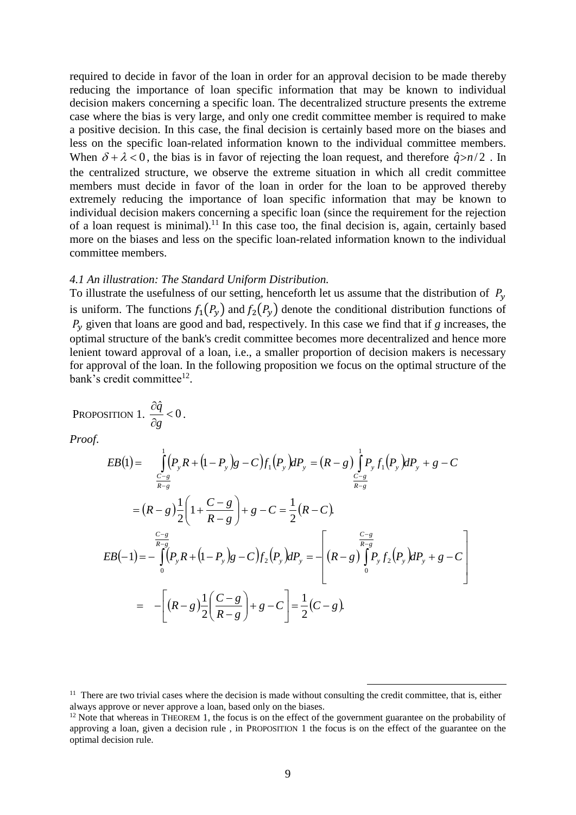required to decide in favor of the loan in order for an approval decision to be made thereby reducing the importance of loan specific information that may be known to individual decision makers concerning a specific loan. The decentralized structure presents the extreme case where the bias is very large, and only one credit committee member is required to make a positive decision. In this case, the final decision is certainly based more on the biases and less on the specific loan-related information known to the individual committee members. When  $\delta + \lambda < 0$ , the bias is in favor of rejecting the loan request, and therefore  $\hat{q} > n/2$ . In the centralized structure, we observe the extreme situation in which all credit committee members must decide in favor of the loan in order for the loan to be approved thereby extremely reducing the importance of loan specific information that may be known to individual decision makers concerning a specific loan (since the requirement for the rejection of a loan request is minimal).<sup>11</sup> In this case too, the final decision is, again, certainly based more on the biases and less on the specific loan-related information known to the individual committee members.

#### *4.1 An illustration: The Standard Uniform Distribution.*

To illustrate the usefulness of our setting, henceforth let us assume that the distribution of  $P_y$ is uniform. The functions  $f_1(P_y)$  and  $f_2(P_y)$  denote the conditional distribution functions of  $P_y$  given that loans are good and bad, respectively. In this case we find that if *g* increases, the optimal structure of the bank's credit committee becomes more decentralized and hence more lenient toward approval of a loan, i.e., a smaller proportion of decision makers is necessary for approval of the loan. In the following proposition we focus on the optimal structure of the bank's credit committee<sup>12</sup>.

PROPOSITION 1. 
$$
\frac{\partial \hat{q}}{\partial g} < 0
$$
.  
\n*Proof.*  
\n
$$
EB(1) = \int_{\frac{C-g}{R-g}}^{1} (P_y R + (1 - P_y) g - C) f_1(P_y) dP_y = (R - g) \int_{\frac{C-g}{R-g}}^{1} P_y f_1(P_y) dP_y + g - C
$$
\n
$$
= (R - g) \frac{1}{2} \left( 1 + \frac{C - g}{R - g} \right) + g - C = \frac{1}{2} (R - C).
$$
\n
$$
EB(-1) = -\int_{0}^{\frac{C-g}{R - g}} (P_y R + (1 - P_y) g - C) f_2(P_y) dP_y = -\left[ (R - g) \int_{0}^{\frac{C-g}{R - g}} P_y f_2(P_y) dP_y + g - C \right]
$$
\n
$$
= -\left[ (R - g) \frac{1}{2} \left( \frac{C - g}{R - g} \right) + g - C \right] = \frac{1}{2} (C - g).
$$

 $11$  There are two trivial cases where the decision is made without consulting the credit committee, that is, either always approve or never approve a loan, based only on the biases.

<sup>&</sup>lt;sup>12</sup> Note that whereas in THEOREM 1, the focus is on the effect of the government guarantee on the probability of approving a loan, given a decision rule , in PROPOSITION 1 the focus is on the effect of the guarantee on the optimal decision rule.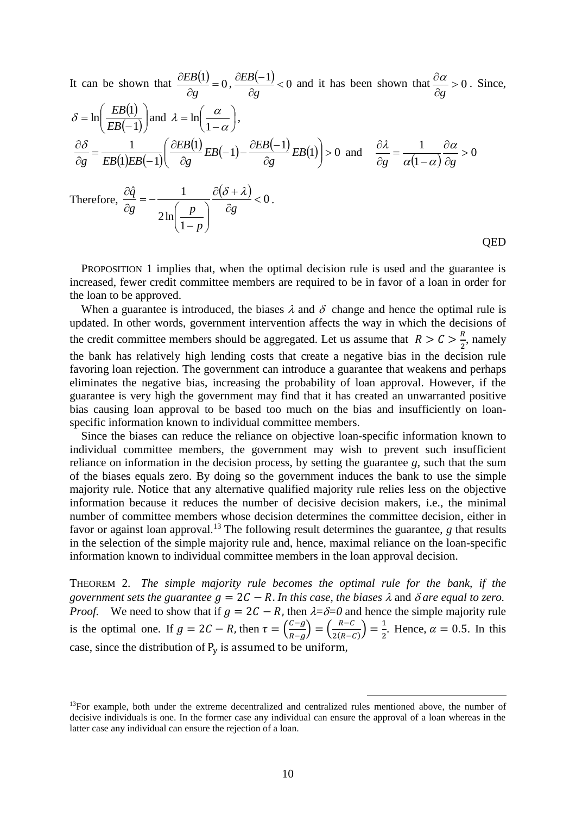It can be shown that 
$$
\frac{\partial EB(1)}{\partial g} = 0
$$
,  $\frac{\partial EB(-1)}{\partial g} < 0$  and it has been shown that  $\frac{\partial \alpha}{\partial g} > 0$ . Since,  
\n $\delta = \ln\left(\frac{EB(1)}{EB(-1)}\right)$  and  $\lambda = \ln\left(\frac{\alpha}{1-\alpha}\right)$ ,  
\n $\frac{\partial \delta}{\partial g} = \frac{1}{EB(1)EB(-1)}\left(\frac{\partial EB(1)}{\partial g}EB(-1) - \frac{\partial EB(-1)}{\partial g}EB(1)\right) > 0$  and  $\frac{\partial \lambda}{\partial g} = \frac{1}{\alpha(1-\alpha)}\frac{\partial \alpha}{\partial g} > 0$   
\nTherefore,  $\frac{\partial \hat{q}}{\partial g} = -\frac{1}{2\ln\left(\frac{p}{1-p}\right)}\frac{\partial(\delta + \lambda)}{\partial g} < 0$ .

PROPOSITION 1 implies that, when the optimal decision rule is used and the guarantee is increased, fewer credit committee members are required to be in favor of a loan in order for the loan to be approved.

When a guarantee is introduced, the biases  $\lambda$  and  $\delta$  change and hence the optimal rule is updated. In other words, government intervention affects the way in which the decisions of the credit committee members should be aggregated. Let us assume that  $R > C > \frac{R}{3}$  $\frac{\pi}{2}$ , namely the bank has relatively high lending costs that create a negative bias in the decision rule favoring loan rejection. The government can introduce a guarantee that weakens and perhaps eliminates the negative bias, increasing the probability of loan approval. However, if the guarantee is very high the government may find that it has created an unwarranted positive bias causing loan approval to be based too much on the bias and insufficiently on loanspecific information known to individual committee members.

Since the biases can reduce the reliance on objective loan-specific information known to individual committee members, the government may wish to prevent such insufficient reliance on information in the decision process, by setting the guarantee *g*, such that the sum of the biases equals zero. By doing so the government induces the bank to use the simple majority rule. Notice that any alternative qualified majority rule relies less on the objective information because it reduces the number of decisive decision makers, i.e., the minimal number of committee members whose decision determines the committee decision, either in favor or against loan approval.<sup>13</sup> The following result determines the guarantee, *g* that results in the selection of the simple majority rule and, hence, maximal reliance on the loan-specific information known to individual committee members in the loan approval decision.

THEOREM 2. *The simple majority rule becomes the optimal rule for the bank, if the government sets the guarantee*  $g = 2C - R$ *. In this case, the biases*  $\lambda$  *and*  $\delta$  *are equal to zero. Proof.* We need to show that if  $g = 2C - R$ , then  $\lambda = \delta = 0$  and hence the simple majority rule is the optimal one. If  $g = 2C - R$ , then  $\tau = \left(\frac{C - g}{R}\right)$  $\left(\frac{c-g}{R-g}\right) = \left(\frac{R-C}{2(R-G)}\right)$  $\frac{R-C}{2(R-C)}\bigg) = \frac{1}{2}$  $\frac{1}{2}$ . Hence,  $\alpha = 0.5$ . In this case, since the distribution of  $P_v$  is assumed to be uniform,

1

<sup>&</sup>lt;sup>13</sup>For example, both under the extreme decentralized and centralized rules mentioned above, the number of decisive individuals is one. In the former case any individual can ensure the approval of a loan whereas in the latter case any individual can ensure the rejection of a loan.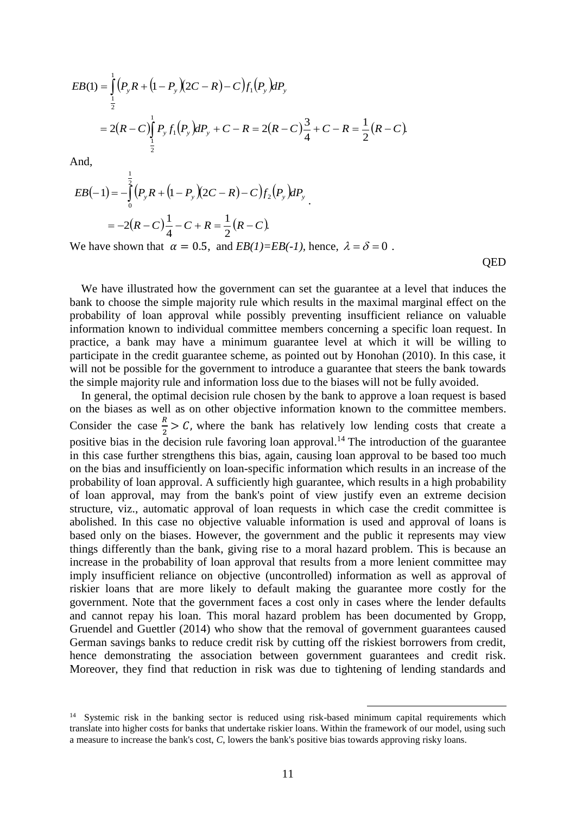$$
EB(1) = \int_{\frac{1}{2}}^{1} (P_y R + (1 - P_y)(2C - R) - C) f_1(P_y) dP_y
$$
  
= 2(R - C) \int\_{\frac{1}{2}}^{1} P\_y f\_1(P\_y) dP\_y + C - R = 2(R - C) \frac{3}{4} + C - R = \frac{1}{2}(R - C)

And,

$$
EB(-1) = -\int_{0}^{\frac{1}{2}} (P_y R + (1 - P_y)(2C - R) - C) f_2(P_y) dP_y
$$
  
= -2(R - C)  $\frac{1}{4}$  - C + R =  $\frac{1}{2}$ (R - C).

We have shown that  $\alpha = 0.5$ , and  $EB(1)=EB(-1)$ , hence,  $\lambda = \delta = 0$ .

**OED** 

We have illustrated how the government can set the guarantee at a level that induces the bank to choose the simple majority rule which results in the maximal marginal effect on the probability of loan approval while possibly preventing insufficient reliance on valuable information known to individual committee members concerning a specific loan request. In practice, a bank may have a minimum guarantee level at which it will be willing to participate in the credit guarantee scheme, as pointed out by Honohan (2010). In this case, it will not be possible for the government to introduce a guarantee that steers the bank towards the simple majority rule and information loss due to the biases will not be fully avoided.

In general, the optimal decision rule chosen by the bank to approve a loan request is based on the biases as well as on other objective information known to the committee members. Consider the case  $\frac{R}{2} > C$ , where the bank has relatively low lending costs that create a positive bias in the decision rule favoring loan approval.<sup>14</sup> The introduction of the guarantee in this case further strengthens this bias, again, causing loan approval to be based too much on the bias and insufficiently on loan-specific information which results in an increase of the probability of loan approval. A sufficiently high guarantee, which results in a high probability of loan approval, may from the bank's point of view justify even an extreme decision structure, viz., automatic approval of loan requests in which case the credit committee is abolished. In this case no objective valuable information is used and approval of loans is based only on the biases. However, the government and the public it represents may view things differently than the bank, giving rise to a moral hazard problem. This is because an increase in the probability of loan approval that results from a more lenient committee may imply insufficient reliance on objective (uncontrolled) information as well as approval of riskier loans that are more likely to default making the guarantee more costly for the government. Note that the government faces a cost only in cases where the lender defaults and cannot repay his loan. This moral hazard problem has been documented by Gropp, Gruendel and Guettler (2014) who show that the removal of government guarantees caused German savings banks to reduce credit risk by cutting off the riskiest borrowers from credit, hence demonstrating the association between government guarantees and credit risk. Moreover, they find that reduction in risk was due to tightening of lending standards and

<sup>&</sup>lt;sup>14</sup> Systemic risk in the banking sector is reduced using risk-based minimum capital requirements which translate into higher costs for banks that undertake riskier loans. Within the framework of our model, using such a measure to increase the bank's cost, *C*, lowers the bank's positive bias towards approving risky loans.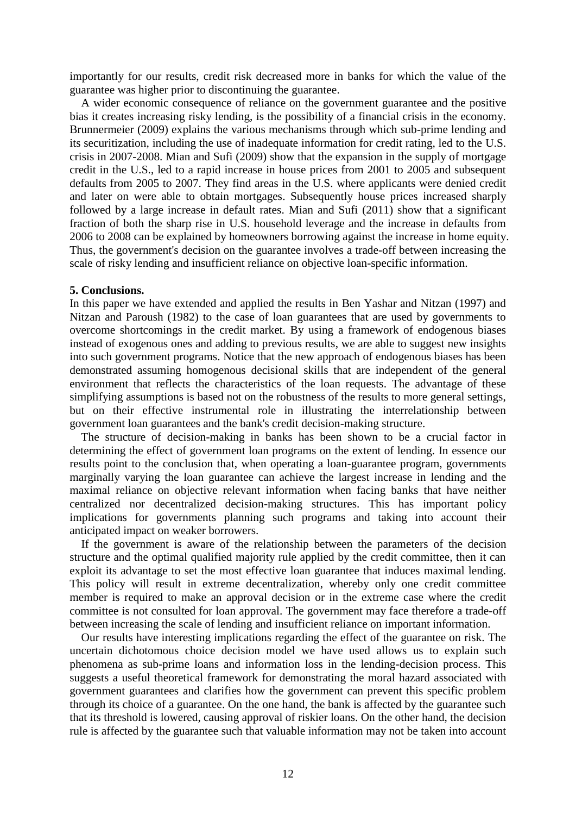importantly for our results, credit risk decreased more in banks for which the value of the guarantee was higher prior to discontinuing the guarantee.

A wider economic consequence of reliance on the government guarantee and the positive bias it creates increasing risky lending, is the possibility of a financial crisis in the economy. Brunnermeier (2009) explains the various mechanisms through which sub-prime lending and its securitization, including the use of inadequate information for credit rating, led to the U.S. crisis in 2007-2008. Mian and Sufi (2009) show that the expansion in the supply of mortgage credit in the U.S., led to a rapid increase in house prices from 2001 to 2005 and subsequent defaults from 2005 to 2007. They find areas in the U.S. where applicants were denied credit and later on were able to obtain mortgages. Subsequently house prices increased sharply followed by a large increase in default rates. Mian and Sufi (2011) show that a significant fraction of both the sharp rise in U.S. household leverage and the increase in defaults from 2006 to 2008 can be explained by homeowners borrowing against the increase in home equity. Thus, the government's decision on the guarantee involves a trade-off between increasing the scale of risky lending and insufficient reliance on objective loan-specific information.

## **5. Conclusions.**

In this paper we have extended and applied the results in Ben Yashar and Nitzan (1997) and Nitzan and Paroush (1982) to the case of loan guarantees that are used by governments to overcome shortcomings in the credit market. By using a framework of endogenous biases instead of exogenous ones and adding to previous results, we are able to suggest new insights into such government programs. Notice that the new approach of endogenous biases has been demonstrated assuming homogenous decisional skills that are independent of the general environment that reflects the characteristics of the loan requests. The advantage of these simplifying assumptions is based not on the robustness of the results to more general settings, but on their effective instrumental role in illustrating the interrelationship between government loan guarantees and the bank's credit decision-making structure.

The structure of decision-making in banks has been shown to be a crucial factor in determining the effect of government loan programs on the extent of lending. In essence our results point to the conclusion that, when operating a loan-guarantee program, governments marginally varying the loan guarantee can achieve the largest increase in lending and the maximal reliance on objective relevant information when facing banks that have neither centralized nor decentralized decision-making structures. This has important policy implications for governments planning such programs and taking into account their anticipated impact on weaker borrowers.

If the government is aware of the relationship between the parameters of the decision structure and the optimal qualified majority rule applied by the credit committee, then it can exploit its advantage to set the most effective loan guarantee that induces maximal lending. This policy will result in extreme decentralization, whereby only one credit committee member is required to make an approval decision or in the extreme case where the credit committee is not consulted for loan approval. The government may face therefore a trade-off between increasing the scale of lending and insufficient reliance on important information.

Our results have interesting implications regarding the effect of the guarantee on risk. The uncertain dichotomous choice decision model we have used allows us to explain such phenomena as sub-prime loans and information loss in the lending-decision process. This suggests a useful theoretical framework for demonstrating the moral hazard associated with government guarantees and clarifies how the government can prevent this specific problem through its choice of a guarantee. On the one hand, the bank is affected by the guarantee such that its threshold is lowered, causing approval of riskier loans. On the other hand, the decision rule is affected by the guarantee such that valuable information may not be taken into account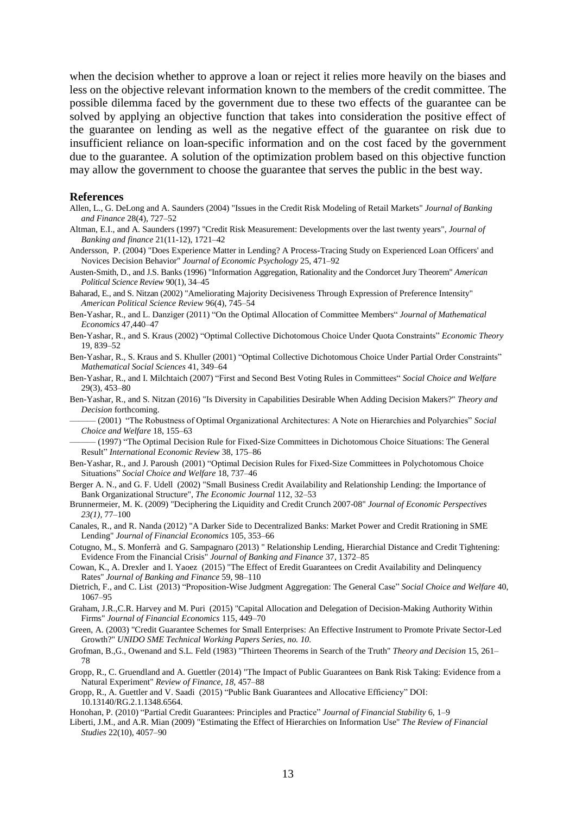when the decision whether to approve a loan or reject it relies more heavily on the biases and less on the objective relevant information known to the members of the credit committee. The possible dilemma faced by the government due to these two effects of the guarantee can be solved by applying an objective function that takes into consideration the positive effect of the guarantee on lending as well as the negative effect of the guarantee on risk due to insufficient reliance on loan-specific information and on the cost faced by the government due to the guarantee. A solution of the optimization problem based on this objective function may allow the government to choose the guarantee that serves the public in the best way.

#### **References**

- [Allen, L.,](http://132.70.177.241/webspirs/doLS.ws?ss=Allen-Linda+in+AU) G[. DeLong and A. Saunders](http://132.70.177.241/webspirs/doLS.ws?ss=DeLong-Gayle+in+AU) (2004) "Issues in the Credit Risk Modeling of Retail Markets" *[Journal of Banking](http://132.70.177.241/webspirs/doLS.ws?ss=Journal-of-Banking-and-Finance+in+SO)  [and Finance](http://132.70.177.241/webspirs/doLS.ws?ss=Journal-of-Banking-and-Finance+in+SO)* 28(4), 727–52
- Altman, E.I., and A. Saunders (1997) "Credit Risk Measurement: Developments over the last twenty years", *Journal of Banking and finance* 21(11-12), 1721–42
- Andersson, P. (2004) "Does Experience Matter in Lending? A Process-Tracing Study on Experienced Loan Officers' and Novices Decision Behavior" *Journal of Economic Psychology* 25, 471–92

Austen-Smith, D., and J.S. Banks (1996) "Information Aggregation, Rationality and the Condorcet Jury Theorem" *American Political Science Review* 90(1), 34–45

Baharad, E., and S. Nitzan (2002) "Ameliorating Majority Decisiveness Through Expression of Preference Intensity" *American Political Science Review* 96(4), 745–54

- Ben-Yashar, R., and L. Danziger (2011) "On the Optimal Allocation of Committee Members" *Journal of Mathematical Economics* 47,440–47
- Ben-Yashar, R., and S. Kraus (2002) "Optimal Collective Dichotomous Choice Under Quota Constraints" *Economic Theory* 19, 839–52
- Ben-Yashar, R., S. Kraus and S. Khuller (2001) "Optimal Collective Dichotomous Choice Under Partial Order Constraints" *Mathematical Social Sciences* 41, 349–64
- Ben-Yashar, R., and I. Milchtaich (2007) "First and Second Best Voting Rules in Committees" *Social Choice and Welfare* 29(3), 453–80
- Ben-Yashar, R., and S. Nitzan (2016) "Is Diversity in Capabilities Desirable When Adding Decision Makers?" *Theory and Decision* forthcoming.

——— (2001) "The Robustness of Optimal Organizational Architectures: A Note on Hierarchies and Polyarchies" *Social Choice and Welfare* 18, 155–63

——— (1997) "The Optimal Decision Rule for Fixed-Size Committees in Dichotomous Choice Situations: The General Result" *International Economic Review* 38, 175–86

- Ben-Yashar, R., and J. Paroush (2001) "Optimal Decision Rules for Fixed-Size Committees in Polychotomous Choice Situations" *Social Choice and Welfare* 18, 737–46
- Berger A. N., and G. F. Udell (2002) "Small Business Credit Availability and Relationship Lending: the Importance of Bank Organizational Structure", *The Economic Journal* 112, 32–53
- Brunnermeier, M. K. (2009) "Deciphering the Liquidity and Credit Crunch 2007-08" *Journal of Economic Perspectives 23(1),* 77–100
- Canales, R., and R. Nanda (2012) "A Darker Side to Decentralized Banks: Market Power and Credit Rrationing in SME Lending" *Journal of Financial Economics* 105, 353–66
- Cotugno, M., S. Monferrà and G. Sampagnaro (2013) " Relationship Lending, Hierarchial Distance and Credit Tightening: Evidence From the Financial Crisis" *Journal of Banking and Finance* 37, 1372–85
- Cowan, K., A. Drexler and I. Yaoez (2015) "The Effect of Eredit Guarantees on Credit Availability and Delinquency Rates" *Journal of Banking and Finance* 59, 98–110
- Dietrich, F., and C. List (2013) "Proposition-Wise Judgment Aggregation: The General Case" *Social Choice and Welfare* 40, 1067–95
- Graham, J.R.,C.R. Harvey and M. Puri (2015) "Capital Allocation and Delegation of Decision-Making Authority Within Firms" *Journal of Financial Economics* 115, 449–70
- Green, A. (2003) "Credit Guarantee Schemes for Small Enterprises: An Effective Instrument to Promote Private Sector-Led Growth?" *UNIDO SME Technical Working Papers Series, no. 10.*
- Grofman, B.,G., Owenand and S.L. Feld (1983) "Thirteen Theorems in Search of the Truth" *Theory and Decision* 15, 261– 78
- Gropp, R., C. Gruendland and A. Guettler (2014) "The Impact of Public Guarantees on Bank Risk Taking: Evidence from a Natural Experiment" *Review of Finance, 18,* 457–88

Gropp, R., A. Guettler and V. Saadi (2015) "Public Bank Guarantees and Allocative Efficiency" DOI: 10.13140/RG.2.1.1348.6564.

- Honohan, P. (2010) "Partial Credit Guarantees: Principles and Practice" *Journal of Financial Stability* 6*,* 1–9
- Liberti, J.M., and A.R. Mian (2009) "Estimating the Effect of Hierarchies on Information Use" *The Review of Financial Studies* 22(10), 4057–90